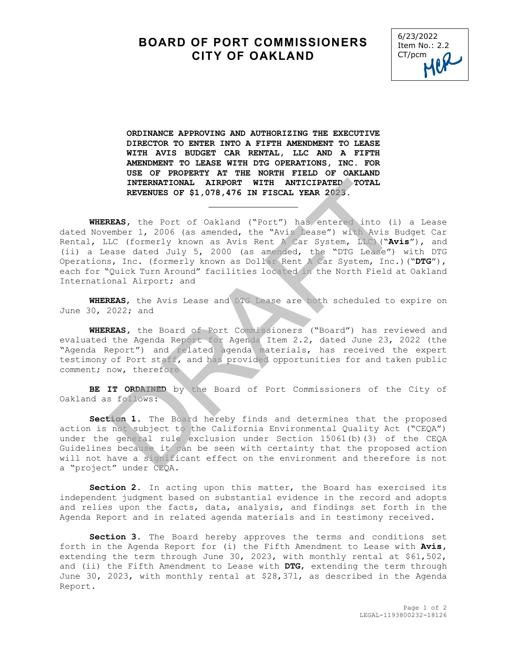## **BOARD OF PORT COMMISSIONERS CITY OF OAKLAND**



**ORDINANCE APPROVING AND AUTHORIZING THE EXECUTIVE DIRECTOR TO ENTER INTO A FIFTH AMENDMENT TO LEASE WITH AVIS BUDGET CAR RENTAL, LLC AND A FIFTH AMENDMENT TO LEASE WITH DTG OPERATIONS, INC. FOR USE OF PROPERTY AT THE NORTH FIELD OF OAKLAND INTERNATIONAL AIRPORT WITH ANTICIPATED TOTAL REVENUES OF \$1,078,476 IN FISCAL YEAR 2023.** 

j.

**WHEREAS,** the Port of Oakland ("Port") has entered into (i) a Lease dated November 1, 2006 (as amended, the "Avis Lease") with Avis Budget Car Rental, LLC (formerly known as Avis Rent A Car System, LLC)("**Avis**"), and (ii) a Lease dated July 5, 2000 (as amended, the "DTG Lease") with DTG Operations, Inc. (formerly known as Dollar Rent A Car System, Inc.)("**DTG**"), each for "Quick Turn Around" facilities located in the North Field at Oakland International Airport; and INTERNATIONAL AIRPORT WITH ANTICIPATED TOTAL<br>REVENUES OF \$1,078,476 IN FISCAL YEAR 2023.<br>REAS, the Port of Oakland ("Port") has entered into (i)<br>ember 1, 2006 (as amended, the "Avis Bease") with Avis B<br>LC (formerly known a

**WHEREAS**, the Avis Lease and DTG Lease are both scheduled to expire on June 30, 2022; and

**WHEREAS,** the Board of Port Commissioners ("Board") has reviewed and evaluated the Agenda Report for Agenda Item 2.2, dated June 23, 2022 (the "Agenda Report") and related agenda materials, has received the expert testimony of Port staff, and has provided opportunities for and taken public comment; now, therefore

**BE IT ORDAINED** by the Board of Port Commissioners of the City of Oakland as follows:

**Section 1.** The Board hereby finds and determines that the proposed action is not subject to the California Environmental Quality Act ("CEQA") under the general rule exclusion under Section 15061(b)(3) of the CEQA Guidelines because it can be seen with certainty that the proposed action will not have a significant effect on the environment and therefore is not a "project" under CEQA.

**Section 2.** In acting upon this matter, the Board has exercised its independent judgment based on substantial evidence in the record and adopts and relies upon the facts, data, analysis, and findings set forth in the Agenda Report and in related agenda materials and in testimony received.

**Section 3.** The Board hereby approves the terms and conditions set forth in the Agenda Report for (i) the Fifth Amendment to Lease with **Avis,** extending the term through June 30, 2023, with monthly rental at \$61,502, and (ii) the Fifth Amendment to Lease with **DTG**, extending the term through June 30, 2023, with monthly rental at \$28,371, as described in the Agenda Report.